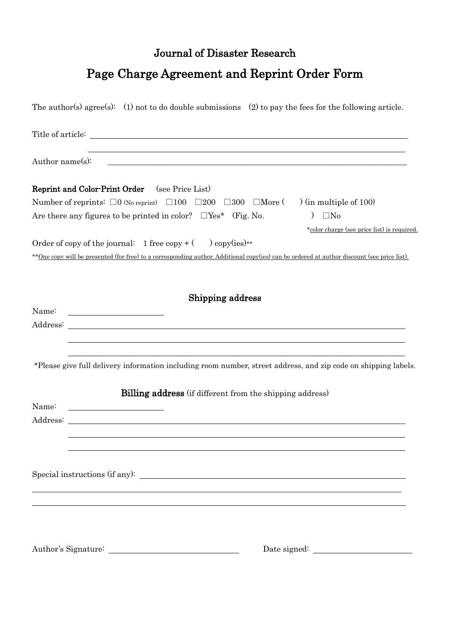## Journal of Disaster Research

## Page Charge Agreement and Reprint Order Form

|                                                                                                                                                                                                                            | The author(s) agree(s): (1) not to do double submissions (2) to pay the fees for the following article.                                      |  |  |  |  |  |
|----------------------------------------------------------------------------------------------------------------------------------------------------------------------------------------------------------------------------|----------------------------------------------------------------------------------------------------------------------------------------------|--|--|--|--|--|
|                                                                                                                                                                                                                            |                                                                                                                                              |  |  |  |  |  |
| ,我们也不会有什么。""我们的人,我们也不会有什么?""我们的人,我们也不会有什么?""我们的人,我们也不会有什么?""我们的人,我们也不会有什么?""我们的人<br>Author name(s):<br><u> 1980 - Andrea Andrew Maria Maria Maria Maria Maria Maria Maria Maria Maria Maria Maria Maria Maria Maria Ma</u> |                                                                                                                                              |  |  |  |  |  |
|                                                                                                                                                                                                                            | <b>Reprint and Color-Print Order</b> (see Price List)                                                                                        |  |  |  |  |  |
| Number of reprints: $\square 0$ (No reprint) $\square 100$ $\square 200$ $\square 300$ $\square$ More () (in multiple of 100)                                                                                              |                                                                                                                                              |  |  |  |  |  |
|                                                                                                                                                                                                                            | Are there any figures to be printed in color? $\Box$ Yes* (Fig. No.<br>$\Box$ No<br>$\mathcal{L}$                                            |  |  |  |  |  |
|                                                                                                                                                                                                                            | *color charge (see price list) is required.                                                                                                  |  |  |  |  |  |
|                                                                                                                                                                                                                            | Order of copy of the journal: 1 free copy + $($ ) copy(ies)**                                                                                |  |  |  |  |  |
|                                                                                                                                                                                                                            | ** One copy will be presented (for free) to a corresponding author. Additional copy(ies) can be ordered at author discount (see price list). |  |  |  |  |  |
| Name:                                                                                                                                                                                                                      | Shipping address                                                                                                                             |  |  |  |  |  |
|                                                                                                                                                                                                                            | *Please give full delivery information including room number, street address, and zip code on shipping labels.                               |  |  |  |  |  |
| Name:<br>Address:                                                                                                                                                                                                          | <b>Billing address</b> (if different from the shipping address)                                                                              |  |  |  |  |  |
|                                                                                                                                                                                                                            |                                                                                                                                              |  |  |  |  |  |
|                                                                                                                                                                                                                            |                                                                                                                                              |  |  |  |  |  |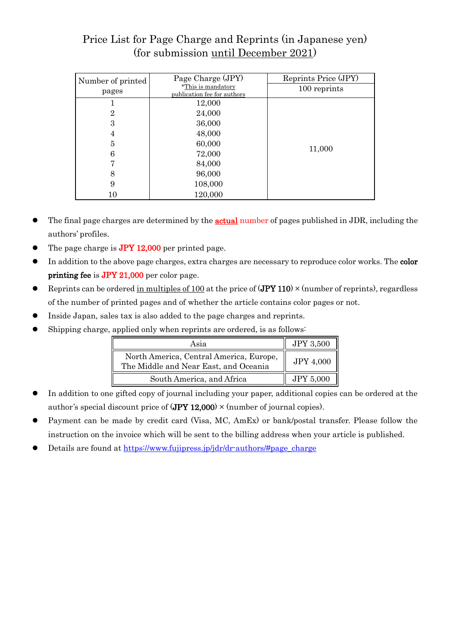## Price List for Page Charge and Reprints (in Japanese yen) (for submission until December 2021)

| Number of printed | Page Charge (JPY)                                 | Reprints Price (JPY) |  |
|-------------------|---------------------------------------------------|----------------------|--|
| pages             | *This is mandatory<br>publication fee for authors | 100 reprints         |  |
|                   | 12,000                                            |                      |  |
| 2                 | 24,000                                            |                      |  |
| 3                 | 36,000                                            | 11,000               |  |
| 4                 | 48,000                                            |                      |  |
| 5                 | 60,000                                            |                      |  |
| 6                 | 72,000                                            |                      |  |
|                   | 84,000                                            |                      |  |
| 8                 | 96,000                                            |                      |  |
| 9                 | 108,000                                           |                      |  |
| 10                | 120,000                                           |                      |  |

- $\bullet$  The final page charges are determined by the **actual** number of pages published in JDR, including the authors' profiles.
- The page charge is **JPY 12,000** per printed page.
- In addition to the above page charges, extra charges are necessary to reproduce color works. The **color** printing fee is JPY 21,000 per color page.
- **•** Reprints can be ordered in multiples of 100 at the price of  $(JPY 110) \times$  (number of reprints), regardless of the number of printed pages and of whether the article contains color pages or not.
- ⚫ Inside Japan, sales tax is also added to the page charges and reprints.
- ⚫ Shipping charge, applied only when reprints are ordered, is as follows:

| Asia                                                                             | <b>JPY 3,500</b> |
|----------------------------------------------------------------------------------|------------------|
| North America, Central America, Europe,<br>The Middle and Near East, and Oceania | <b>JPY 4,000</b> |
| South America, and Africa                                                        | <b>JPY 5,000</b> |

- ⚫ In addition to one gifted copy of journal including your paper, additional copies can be ordered at the author's special discount price of  $(JPY 12,000) \times$  (number of journal copies).
- Payment can be made by credit card (Visa, MC, AmEx) or bank/postal transfer. Please follow the instruction on the invoice which will be sent to the billing address when your article is published.
- Details are found at [https://www.fujipress.jp/jdr/dr-authors/#page\\_charge](https://www.fujipress.jp/jdr/dr-authors/#page_charge)